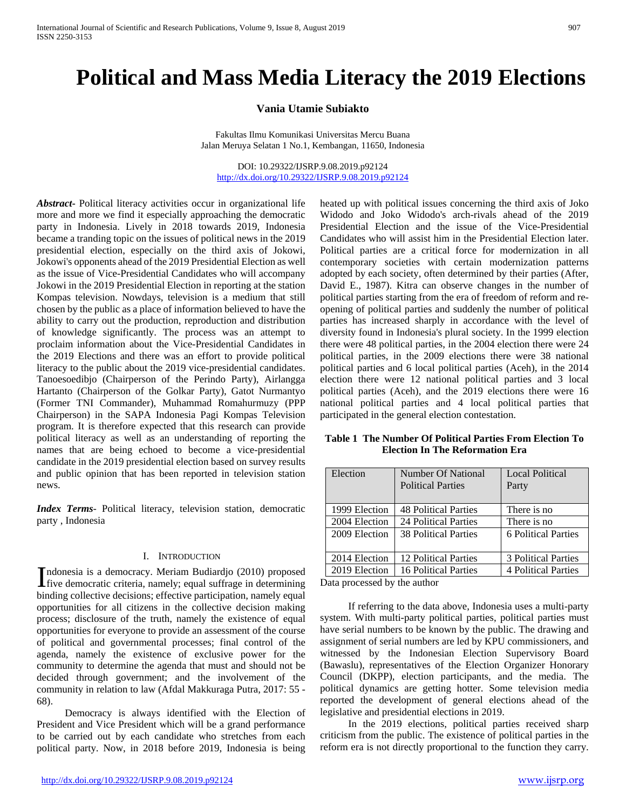# **Political and Mass Media Literacy the 2019 Elections**

**Vania Utamie Subiakto**

Fakultas Ilmu Komunikasi Universitas Mercu Buana Jalan Meruya Selatan 1 No.1, Kembangan, 11650, Indonesia

DOI: 10.29322/IJSRP.9.08.2019.p92124 <http://dx.doi.org/10.29322/IJSRP.9.08.2019.p92124>

*Abstract***-** Political literacy activities occur in organizational life more and more we find it especially approaching the democratic party in Indonesia. Lively in 2018 towards 2019, Indonesia became a tranding topic on the issues of political news in the 2019 presidential election, especially on the third axis of Jokowi, Jokowi's opponents ahead of the 2019 Presidential Election as well as the issue of Vice-Presidential Candidates who will accompany Jokowi in the 2019 Presidential Election in reporting at the station Kompas television. Nowdays, television is a medium that still chosen by the public as a place of information believed to have the ability to carry out the production, reproduction and distribution of knowledge significantly. The process was an attempt to proclaim information about the Vice-Presidential Candidates in the 2019 Elections and there was an effort to provide political literacy to the public about the 2019 vice-presidential candidates. Tanoesoedibjo (Chairperson of the Perindo Party), Airlangga Hartanto (Chairperson of the Golkar Party), Gatot Nurmantyo (Former TNI Commander), Muhammad Romahurmuzy (PPP Chairperson) in the SAPA Indonesia Pagi Kompas Television program. It is therefore expected that this research can provide political literacy as well as an understanding of reporting the names that are being echoed to become a vice-presidential candidate in the 2019 presidential election based on survey results and public opinion that has been reported in television station news.

*Index Terms*- Political literacy, television station, democratic party , Indonesia

## I. INTRODUCTION

ndonesia is a democracy. Meriam Budiardjo (2010) proposed Indonesia is a democracy. Meriam Budiardjo (2010) proposed<br>five democratic criteria, namely; equal suffrage in determining binding collective decisions; effective participation, namely equal opportunities for all citizens in the collective decision making process; disclosure of the truth, namely the existence of equal opportunities for everyone to provide an assessment of the course of political and governmental processes; final control of the agenda, namely the existence of exclusive power for the community to determine the agenda that must and should not be decided through government; and the involvement of the community in relation to law (Afdal Makkuraga Putra, 2017: 55 - 68).

 Democracy is always identified with the Election of President and Vice President which will be a grand performance to be carried out by each candidate who stretches from each political party. Now, in 2018 before 2019, Indonesia is being

<http://dx.doi.org/10.29322/IJSRP.9.08.2019.p92124> [www.ijsrp.org](http://ijsrp.org/)

heated up with political issues concerning the third axis of Joko Widodo and Joko Widodo's arch-rivals ahead of the 2019 Presidential Election and the issue of the Vice-Presidential Candidates who will assist him in the Presidential Election later. Political parties are a critical force for modernization in all contemporary societies with certain modernization patterns adopted by each society, often determined by their parties (After, David E., 1987). Kitra can observe changes in the number of political parties starting from the era of freedom of reform and reopening of political parties and suddenly the number of political parties has increased sharply in accordance with the level of diversity found in Indonesia's plural society. In the 1999 election there were 48 political parties, in the 2004 election there were 24 political parties, in the 2009 elections there were 38 national political parties and 6 local political parties (Aceh), in the 2014 election there were 12 national political parties and 3 local political parties (Aceh), and the 2019 elections there were 16 national political parties and 4 local political parties that participated in the general election contestation.

**Table 1 The Number Of Political Parties From Election To Election In The Reformation Era**

| Election      | <b>Number Of National</b>   | <b>Local Political</b>     |
|---------------|-----------------------------|----------------------------|
|               | <b>Political Parties</b>    | Party                      |
|               |                             |                            |
| 1999 Election | <b>48 Political Parties</b> | There is no                |
| 2004 Election | 24 Political Parties        | There is no                |
| 2009 Election | <b>38 Political Parties</b> | 6 Political Parties        |
|               |                             |                            |
| 2014 Election | 12 Political Parties        | 3 Political Parties        |
| 2019 Election | 16 Political Parties        | <b>4 Political Parties</b> |

Data processed by the author

 If referring to the data above, Indonesia uses a multi-party system. With multi-party political parties, political parties must have serial numbers to be known by the public. The drawing and assignment of serial numbers are led by KPU commissioners, and witnessed by the Indonesian Election Supervisory Board (Bawaslu), representatives of the Election Organizer Honorary Council (DKPP), election participants, and the media. The political dynamics are getting hotter. Some television media reported the development of general elections ahead of the legislative and presidential elections in 2019.

 In the 2019 elections, political parties received sharp criticism from the public. The existence of political parties in the reform era is not directly proportional to the function they carry.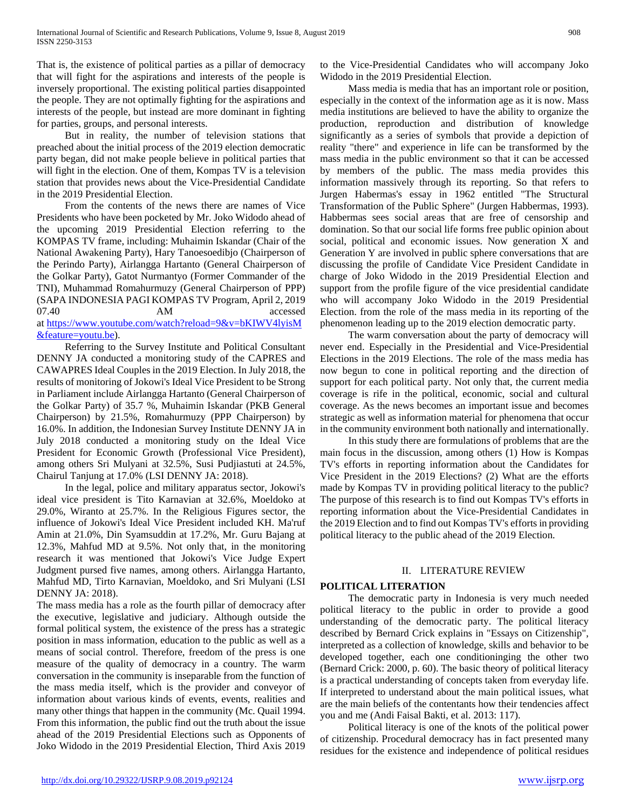That is, the existence of political parties as a pillar of democracy that will fight for the aspirations and interests of the people is inversely proportional. The existing political parties disappointed the people. They are not optimally fighting for the aspirations and interests of the people, but instead are more dominant in fighting for parties, groups, and personal interests.

 But in reality, the number of television stations that preached about the initial process of the 2019 election democratic party began, did not make people believe in political parties that will fight in the election. One of them, Kompas TV is a television station that provides news about the Vice-Presidential Candidate in the 2019 Presidential Election.

 From the contents of the news there are names of Vice Presidents who have been pocketed by Mr. Joko Widodo ahead of the upcoming 2019 Presidential Election referring to the KOMPAS TV frame, including: Muhaimin Iskandar (Chair of the National Awakening Party), Hary Tanoesoedibjo (Chairperson of the Perindo Party), Airlangga Hartanto (General Chairperson of the Golkar Party), Gatot Nurmantyo (Former Commander of the TNI), Muhammad Romahurmuzy (General Chairperson of PPP) (SAPA INDONESIA PAGI KOMPAS TV Program, April 2, 2019 07.40 AM accessed at [https://www.youtube.com/watch?reload=9&v=bKIWV4lyisM](https://www.youtube.com/watch?reload=9&v=bKIWV4lyisM&feature=youtu.be) [&feature=youtu.be\)](https://www.youtube.com/watch?reload=9&v=bKIWV4lyisM&feature=youtu.be).

 Referring to the Survey Institute and Political Consultant DENNY JA conducted a monitoring study of the CAPRES and CAWAPRES Ideal Couples in the 2019 Election. In July 2018, the results of monitoring of Jokowi's Ideal Vice President to be Strong in Parliament include Airlangga Hartanto (General Chairperson of the Golkar Party) of 35.7 %, Muhaimin Iskandar (PKB General Chairperson) by 21.5%, Romahurmuzy (PPP Chairperson) by 16.0%. In addition, the Indonesian Survey Institute DENNY JA in July 2018 conducted a monitoring study on the Ideal Vice President for Economic Growth (Professional Vice President), among others Sri Mulyani at 32.5%, Susi Pudjiastuti at 24.5%, Chairul Tanjung at 17.0% (LSI DENNY JA: 2018).

 In the legal, police and military apparatus sector, Jokowi's ideal vice president is Tito Karnavian at 32.6%, Moeldoko at 29.0%, Wiranto at 25.7%. In the Religious Figures sector, the influence of Jokowi's Ideal Vice President included KH. Ma'ruf Amin at 21.0%, Din Syamsuddin at 17.2%, Mr. Guru Bajang at 12.3%, Mahfud MD at 9.5%. Not only that, in the monitoring research it was mentioned that Jokowi's Vice Judge Expert Judgment pursed five names, among others. Airlangga Hartanto, Mahfud MD, Tirto Karnavian, Moeldoko, and Sri Mulyani (LSI DENNY JA: 2018).

The mass media has a role as the fourth pillar of democracy after the executive, legislative and judiciary. Although outside the formal political system, the existence of the press has a strategic position in mass information, education to the public as well as a means of social control. Therefore, freedom of the press is one measure of the quality of democracy in a country. The warm conversation in the community is inseparable from the function of the mass media itself, which is the provider and conveyor of information about various kinds of events, events, realities and many other things that happen in the community (Mc. Quail 1994. From this information, the public find out the truth about the issue ahead of the 2019 Presidential Elections such as Opponents of Joko Widodo in the 2019 Presidential Election, Third Axis 2019

to the Vice-Presidential Candidates who will accompany Joko Widodo in the 2019 Presidential Election.

 Mass media is media that has an important role or position, especially in the context of the information age as it is now. Mass media institutions are believed to have the ability to organize the production, reproduction and distribution of knowledge significantly as a series of symbols that provide a depiction of reality "there" and experience in life can be transformed by the mass media in the public environment so that it can be accessed by members of the public. The mass media provides this information massively through its reporting. So that refers to Jurgen Habermas's essay in 1962 entitled "The Structural Transformation of the Public Sphere" (Jurgen Habbermas, 1993). Habbermas sees social areas that are free of censorship and domination. So that our social life forms free public opinion about social, political and economic issues. Now generation X and Generation Y are involved in public sphere conversations that are discussing the profile of Candidate Vice President Candidate in charge of Joko Widodo in the 2019 Presidential Election and support from the profile figure of the vice presidential candidate who will accompany Joko Widodo in the 2019 Presidential Election. from the role of the mass media in its reporting of the phenomenon leading up to the 2019 election democratic party.

 The warm conversation about the party of democracy will never end. Especially in the Presidential and Vice-Presidential Elections in the 2019 Elections. The role of the mass media has now begun to cone in political reporting and the direction of support for each political party. Not only that, the current media coverage is rife in the political, economic, social and cultural coverage. As the news becomes an important issue and becomes strategic as well as information material for phenomena that occur in the community environment both nationally and internationally.

 In this study there are formulations of problems that are the main focus in the discussion, among others (1) How is Kompas TV's efforts in reporting information about the Candidates for Vice President in the 2019 Elections? (2) What are the efforts made by Kompas TV in providing political literacy to the public? The purpose of this research is to find out Kompas TV's efforts in reporting information about the Vice-Presidential Candidates in the 2019 Election and to find out Kompas TV's efforts in providing political literacy to the public ahead of the 2019 Election.

# II. LITERATURE REVIEW

# **POLITICAL LITERATION**

 The democratic party in Indonesia is very much needed political literacy to the public in order to provide a good understanding of the democratic party. The political literacy described by Bernard Crick explains in "Essays on Citizenship", interpreted as a collection of knowledge, skills and behavior to be developed together, each one conditioninging the other two (Bernard Crick: 2000, p. 60). The basic theory of political literacy is a practical understanding of concepts taken from everyday life. If interpreted to understand about the main political issues, what are the main beliefs of the contentants how their tendencies affect you and me (Andi Faisal Bakti, et al. 2013: 117).

 Political literacy is one of the knots of the political power of citizenship. Procedural democracy has in fact presented many residues for the existence and independence of political residues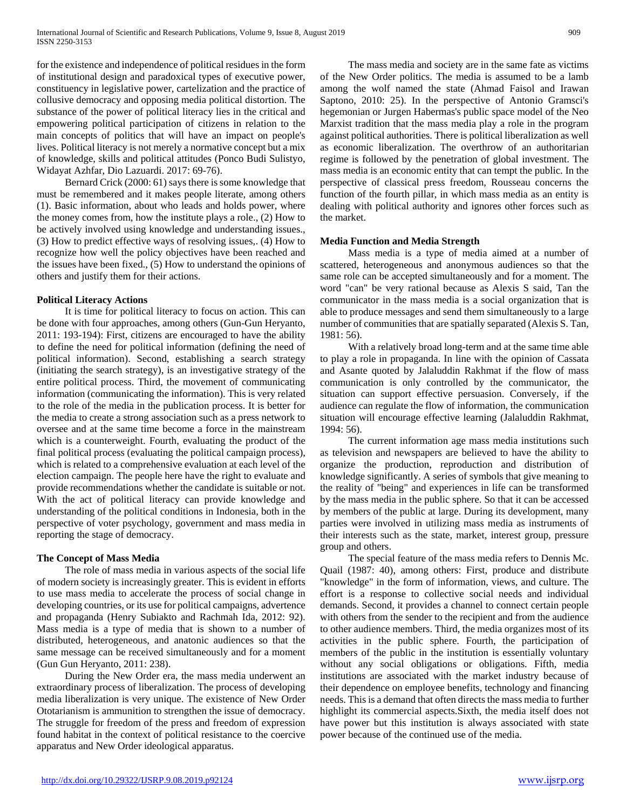for the existence and independence of political residues in the form of institutional design and paradoxical types of executive power, constituency in legislative power, cartelization and the practice of collusive democracy and opposing media political distortion. The substance of the power of political literacy lies in the critical and empowering political participation of citizens in relation to the main concepts of politics that will have an impact on people's lives. Political literacy is not merely a normative concept but a mix of knowledge, skills and political attitudes (Ponco Budi Sulistyo, Widayat Azhfar, Dio Lazuardi. 2017: 69-76).

 Bernard Crick (2000: 61) says there is some knowledge that must be remembered and it makes people literate, among others (1). Basic information, about who leads and holds power, where the money comes from, how the institute plays a role., (2) How to be actively involved using knowledge and understanding issues., (3) How to predict effective ways of resolving issues,. (4) How to recognize how well the policy objectives have been reached and the issues have been fixed., (5) How to understand the opinions of others and justify them for their actions.

#### **Political Literacy Actions**

 It is time for political literacy to focus on action. This can be done with four approaches, among others (Gun-Gun Heryanto, 2011: 193-194): First, citizens are encouraged to have the ability to define the need for political information (defining the need of political information). Second, establishing a search strategy (initiating the search strategy), is an investigative strategy of the entire political process. Third, the movement of communicating information (communicating the information). This is very related to the role of the media in the publication process. It is better for the media to create a strong association such as a press network to oversee and at the same time become a force in the mainstream which is a counterweight. Fourth, evaluating the product of the final political process (evaluating the political campaign process), which is related to a comprehensive evaluation at each level of the election campaign. The people here have the right to evaluate and provide recommendations whether the candidate is suitable or not. With the act of political literacy can provide knowledge and understanding of the political conditions in Indonesia, both in the perspective of voter psychology, government and mass media in reporting the stage of democracy.

#### **The Concept of Mass Media**

 The role of mass media in various aspects of the social life of modern society is increasingly greater. This is evident in efforts to use mass media to accelerate the process of social change in developing countries, or its use for political campaigns, advertence and propaganda (Henry Subiakto and Rachmah Ida, 2012: 92). Mass media is a type of media that is shown to a number of distributed, heterogeneous, and anatonic audiences so that the same message can be received simultaneously and for a moment (Gun Gun Heryanto, 2011: 238).

 During the New Order era, the mass media underwent an extraordinary process of liberalization. The process of developing media liberalization is very unique. The existence of New Order Ototarianism is ammunition to strengthen the issue of democracy. The struggle for freedom of the press and freedom of expression found habitat in the context of political resistance to the coercive apparatus and New Order ideological apparatus.

 The mass media and society are in the same fate as victims of the New Order politics. The media is assumed to be a lamb among the wolf named the state (Ahmad Faisol and Irawan Saptono, 2010: 25). In the perspective of Antonio Gramsci's hegemonian or Jurgen Habermas's public space model of the Neo Marxist tradition that the mass media play a role in the program against political authorities. There is political liberalization as well as economic liberalization. The overthrow of an authoritarian regime is followed by the penetration of global investment. The mass media is an economic entity that can tempt the public. In the perspective of classical press freedom, Rousseau concerns the function of the fourth pillar, in which mass media as an entity is dealing with political authority and ignores other forces such as the market.

#### **Media Function and Media Strength**

 Mass media is a type of media aimed at a number of scattered, heterogeneous and anonymous audiences so that the same role can be accepted simultaneously and for a moment. The word "can" be very rational because as Alexis S said, Tan the communicator in the mass media is a social organization that is able to produce messages and send them simultaneously to a large number of communities that are spatially separated (Alexis S. Tan, 1981: 56).

 With a relatively broad long-term and at the same time able to play a role in propaganda. In line with the opinion of Cassata and Asante quoted by Jalaluddin Rakhmat if the flow of mass communication is only controlled by the communicator, the situation can support effective persuasion. Conversely, if the audience can regulate the flow of information, the communication situation will encourage effective learning (Jalaluddin Rakhmat, 1994: 56).

 The current information age mass media institutions such as television and newspapers are believed to have the ability to organize the production, reproduction and distribution of knowledge significantly. A series of symbols that give meaning to the reality of "being" and experiences in life can be transformed by the mass media in the public sphere. So that it can be accessed by members of the public at large. During its development, many parties were involved in utilizing mass media as instruments of their interests such as the state, market, interest group, pressure group and others.

 The special feature of the mass media refers to Dennis Mc. Quail (1987: 40), among others: First, produce and distribute "knowledge" in the form of information, views, and culture. The effort is a response to collective social needs and individual demands. Second, it provides a channel to connect certain people with others from the sender to the recipient and from the audience to other audience members. Third, the media organizes most of its activities in the public sphere. Fourth, the participation of members of the public in the institution is essentially voluntary without any social obligations or obligations. Fifth, media institutions are associated with the market industry because of their dependence on employee benefits, technology and financing needs. This is a demand that often directs the mass media to further highlight its commercial aspects.Sixth, the media itself does not have power but this institution is always associated with state power because of the continued use of the media.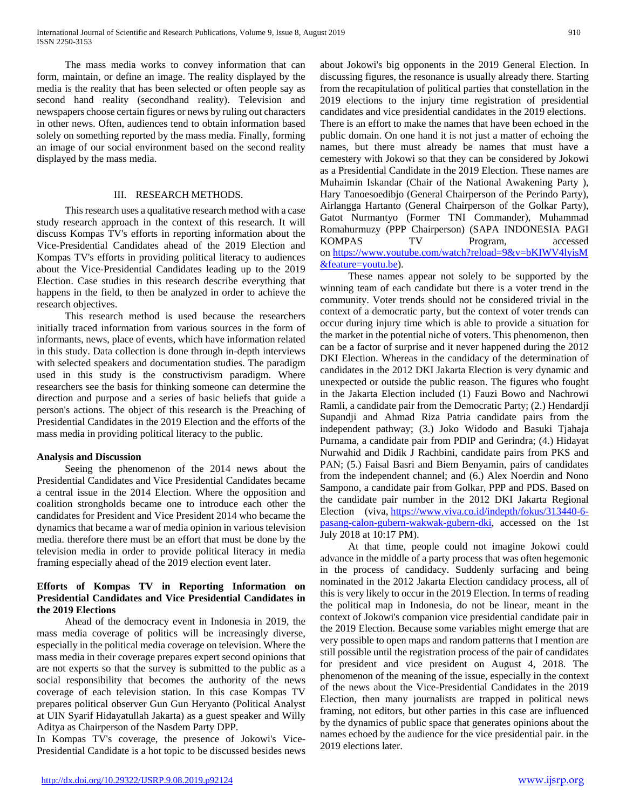The mass media works to convey information that can form, maintain, or define an image. The reality displayed by the media is the reality that has been selected or often people say as second hand reality (secondhand reality). Television and newspapers choose certain figures or news by ruling out characters in other news. Often, audiences tend to obtain information based solely on something reported by the mass media. Finally, forming an image of our social environment based on the second reality displayed by the mass media.

## III. RESEARCH METHODS.

 This research uses a qualitative research method with a case study research approach in the context of this research. It will discuss Kompas TV's efforts in reporting information about the Vice-Presidential Candidates ahead of the 2019 Election and Kompas TV's efforts in providing political literacy to audiences about the Vice-Presidential Candidates leading up to the 2019 Election. Case studies in this research describe everything that happens in the field, to then be analyzed in order to achieve the research objectives.

 This research method is used because the researchers initially traced information from various sources in the form of informants, news, place of events, which have information related in this study. Data collection is done through in-depth interviews with selected speakers and documentation studies. The paradigm used in this study is the constructivism paradigm. Where researchers see the basis for thinking someone can determine the direction and purpose and a series of basic beliefs that guide a person's actions. The object of this research is the Preaching of Presidential Candidates in the 2019 Election and the efforts of the mass media in providing political literacy to the public.

#### **Analysis and Discussion**

 Seeing the phenomenon of the 2014 news about the Presidential Candidates and Vice Presidential Candidates became a central issue in the 2014 Election. Where the opposition and coalition strongholds became one to introduce each other the candidates for President and Vice President 2014 who became the dynamics that became a war of media opinion in various television media. therefore there must be an effort that must be done by the television media in order to provide political literacy in media framing especially ahead of the 2019 election event later.

## **Efforts of Kompas TV in Reporting Information on Presidential Candidates and Vice Presidential Candidates in the 2019 Elections**

 Ahead of the democracy event in Indonesia in 2019, the mass media coverage of politics will be increasingly diverse, especially in the political media coverage on television. Where the mass media in their coverage prepares expert second opinions that are not experts so that the survey is submitted to the public as a social responsibility that becomes the authority of the news coverage of each television station. In this case Kompas TV prepares political observer Gun Gun Heryanto (Political Analyst at UIN Syarif Hidayatullah Jakarta) as a guest speaker and Willy Aditya as Chairperson of the Nasdem Party DPP.

In Kompas TV's coverage, the presence of Jokowi's Vice-Presidential Candidate is a hot topic to be discussed besides news about Jokowi's big opponents in the 2019 General Election. In discussing figures, the resonance is usually already there. Starting from the recapitulation of political parties that constellation in the 2019 elections to the injury time registration of presidential candidates and vice presidential candidates in the 2019 elections. There is an effort to make the names that have been echoed in the public domain. On one hand it is not just a matter of echoing the names, but there must already be names that must have a cemestery with Jokowi so that they can be considered by Jokowi as a Presidential Candidate in the 2019 Election. These names are Muhaimin Iskandar (Chair of the National Awakening Party ), Hary Tanoesoedibjo (General Chairperson of the Perindo Party), Airlangga Hartanto (General Chairperson of the Golkar Party), Gatot Nurmantyo (Former TNI Commander), Muhammad Romahurmuzy (PPP Chairperson) (SAPA INDONESIA PAGI KOMPAS TV Program, accessed on [https://www.youtube.com/watch?reload=9&v=bKIWV4lyisM](https://www.youtube.com/watch?reload=9&v=bKIWV4lyisM&feature=youtu.be) [&feature=youtu.be\)](https://www.youtube.com/watch?reload=9&v=bKIWV4lyisM&feature=youtu.be).

 These names appear not solely to be supported by the winning team of each candidate but there is a voter trend in the community. Voter trends should not be considered trivial in the context of a democratic party, but the context of voter trends can occur during injury time which is able to provide a situation for the market in the potential niche of voters. This phenomenon, then can be a factor of surprise and it never happened during the 2012 DKI Election. Whereas in the candidacy of the determination of candidates in the 2012 DKI Jakarta Election is very dynamic and unexpected or outside the public reason. The figures who fought in the Jakarta Election included (1) Fauzi Bowo and Nachrowi Ramli, a candidate pair from the Democratic Party; (2.) Hendardji Supandji and Ahmad Riza Patria candidate pairs from the independent pathway; (3.) Joko Widodo and Basuki Tjahaja Purnama, a candidate pair from PDIP and Gerindra; (4.) Hidayat Nurwahid and Didik J Rachbini, candidate pairs from PKS and PAN; (5.) Faisal Basri and Biem Benyamin, pairs of candidates from the independent channel; and (6.) Alex Noerdin and Nono Sampono, a candidate pair from Golkar, PPP and PDS. Based on the candidate pair number in the 2012 DKI Jakarta Regional Election (viva, [https://www.viva.co.id/indepth/fokus/313440-6](https://www.viva.co.id/indepth/fokus/313440-6-pasang-calon-gubern-wakwak-gubern-dki) [pasang-calon-gubern-wakwak-gubern-dki,](https://www.viva.co.id/indepth/fokus/313440-6-pasang-calon-gubern-wakwak-gubern-dki) accessed on the 1st July 2018 at 10:17 PM).

 At that time, people could not imagine Jokowi could advance in the middle of a party process that was often hegemonic in the process of candidacy. Suddenly surfacing and being nominated in the 2012 Jakarta Election candidacy process, all of this is very likely to occur in the 2019 Election. In terms of reading the political map in Indonesia, do not be linear, meant in the context of Jokowi's companion vice presidential candidate pair in the 2019 Election. Because some variables might emerge that are very possible to open maps and random patterns that I mention are still possible until the registration process of the pair of candidates for president and vice president on August 4, 2018. The phenomenon of the meaning of the issue, especially in the context of the news about the Vice-Presidential Candidates in the 2019 Election, then many journalists are trapped in political news framing, not editors, but other parties in this case are influenced by the dynamics of public space that generates opinions about the names echoed by the audience for the vice presidential pair. in the 2019 elections later.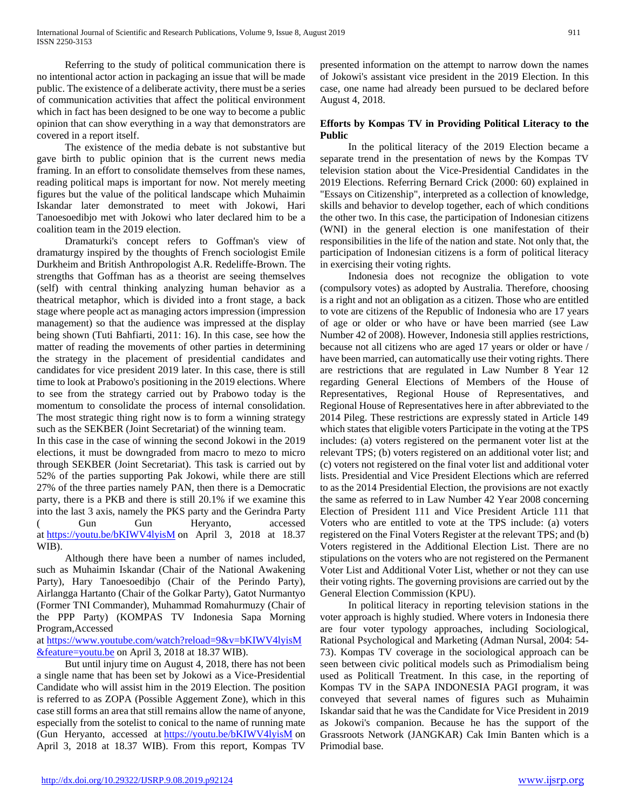Referring to the study of political communication there is no intentional actor action in packaging an issue that will be made public. The existence of a deliberate activity, there must be a series of communication activities that affect the political environment which in fact has been designed to be one way to become a public opinion that can show everything in a way that demonstrators are covered in a report itself.

 The existence of the media debate is not substantive but gave birth to public opinion that is the current news media framing. In an effort to consolidate themselves from these names, reading political maps is important for now. Not merely meeting figures but the value of the political landscape which Muhaimin Iskandar later demonstrated to meet with Jokowi, Hari Tanoesoedibjo met with Jokowi who later declared him to be a coalition team in the 2019 election.

 Dramaturki's concept refers to Goffman's view of dramaturgy inspired by the thoughts of French sociologist Emile Durkheim and British Anthropologist A.R. Redeliffe-Brown. The strengths that Goffman has as a theorist are seeing themselves (self) with central thinking analyzing human behavior as a theatrical metaphor, which is divided into a front stage, a back stage where people act as managing actors impression (impression management) so that the audience was impressed at the display being shown (Tuti Bahfiarti, 2011: 16). In this case, see how the matter of reading the movements of other parties in determining the strategy in the placement of presidential candidates and candidates for vice president 2019 later. In this case, there is still time to look at Prabowo's positioning in the 2019 elections. Where to see from the strategy carried out by Prabowo today is the momentum to consolidate the process of internal consolidation. The most strategic thing right now is to form a winning strategy such as the SEKBER (Joint Secretariat) of the winning team.

In this case in the case of winning the second Jokowi in the 2019 elections, it must be downgraded from macro to mezo to micro through SEKBER (Joint Secretariat). This task is carried out by 52% of the parties supporting Pak Jokowi, while there are still 27% of the three parties namely PAN, then there is a Democratic party, there is a PKB and there is still 20.1% if we examine this into the last 3 axis, namely the PKS party and the Gerindra Party ( Gun Gun Heryanto, accessed at <https://youtu.be/bKIWV4lyisM> on April 3, 2018 at 18.37 WIB).

 Although there have been a number of names included, such as Muhaimin Iskandar (Chair of the National Awakening Party), Hary Tanoesoedibjo (Chair of the Perindo Party), Airlangga Hartanto (Chair of the Golkar Party), Gatot Nurmantyo (Former TNI Commander), Muhammad Romahurmuzy (Chair of the PPP Party) (KOMPAS TV Indonesia Sapa Morning Program,Accessed

at [https://www.youtube.com/watch?reload=9&v=bKIWV4lyisM](https://www.youtube.com/watch?reload=9&v=bKIWV4lyisM&feature=youtu.be) [&feature=youtu.be](https://www.youtube.com/watch?reload=9&v=bKIWV4lyisM&feature=youtu.be) on April 3, 2018 at 18.37 WIB).

 But until injury time on August 4, 2018, there has not been a single name that has been set by Jokowi as a Vice-Presidential Candidate who will assist him in the 2019 Election. The position is referred to as ZOPA (Possible Aggement Zone), which in this case still forms an area that still remains allow the name of anyone, especially from the sotelist to conical to the name of running mate (Gun Heryanto, accessed at <https://youtu.be/bKIWV4lyisM> on April 3, 2018 at 18.37 WIB). From this report, Kompas TV

presented information on the attempt to narrow down the names of Jokowi's assistant vice president in the 2019 Election. In this case, one name had already been pursued to be declared before August 4, 2018.

## **Efforts by Kompas TV in Providing Political Literacy to the Public**

 In the political literacy of the 2019 Election became a separate trend in the presentation of news by the Kompas TV television station about the Vice-Presidential Candidates in the 2019 Elections. Referring Bernard Crick (2000: 60) explained in "Essays on Citizenship", interpreted as a collection of knowledge, skills and behavior to develop together, each of which conditions the other two. In this case, the participation of Indonesian citizens (WNI) in the general election is one manifestation of their responsibilities in the life of the nation and state. Not only that, the participation of Indonesian citizens is a form of political literacy in exercising their voting rights.

 Indonesia does not recognize the obligation to vote (compulsory votes) as adopted by Australia. Therefore, choosing is a right and not an obligation as a citizen. Those who are entitled to vote are citizens of the Republic of Indonesia who are 17 years of age or older or who have or have been married (see Law Number 42 of 2008). However, Indonesia still applies restrictions, because not all citizens who are aged 17 years or older or have / have been married, can automatically use their voting rights. There are restrictions that are regulated in Law Number 8 Year 12 regarding General Elections of Members of the House of Representatives, Regional House of Representatives, and Regional House of Representatives here in after abbreviated to the 2014 Pileg. These restrictions are expressly stated in Article 149 which states that eligible voters Participate in the voting at the TPS includes: (a) voters registered on the permanent voter list at the relevant TPS; (b) voters registered on an additional voter list; and (c) voters not registered on the final voter list and additional voter lists. Presidential and Vice President Elections which are referred to as the 2014 Presidential Election, the provisions are not exactly the same as referred to in Law Number 42 Year 2008 concerning Election of President 111 and Vice President Article 111 that Voters who are entitled to vote at the TPS include: (a) voters registered on the Final Voters Register at the relevant TPS; and (b) Voters registered in the Additional Election List. There are no stipulations on the voters who are not registered on the Permanent Voter List and Additional Voter List, whether or not they can use their voting rights. The governing provisions are carried out by the General Election Commission (KPU).

 In political literacy in reporting television stations in the voter approach is highly studied. Where voters in Indonesia there are four voter typology approaches, including Sociological, Rational Psychological and Marketing (Adman Nursal, 2004: 54- 73). Kompas TV coverage in the sociological approach can be seen between civic political models such as Primodialism being used as Politicall Treatment. In this case, in the reporting of Kompas TV in the SAPA INDONESIA PAGI program, it was conveyed that several names of figures such as Muhaimin Iskandar said that he was the Candidate for Vice President in 2019 as Jokowi's companion. Because he has the support of the Grassroots Network (JANGKAR) Cak Imin Banten which is a Primodial base.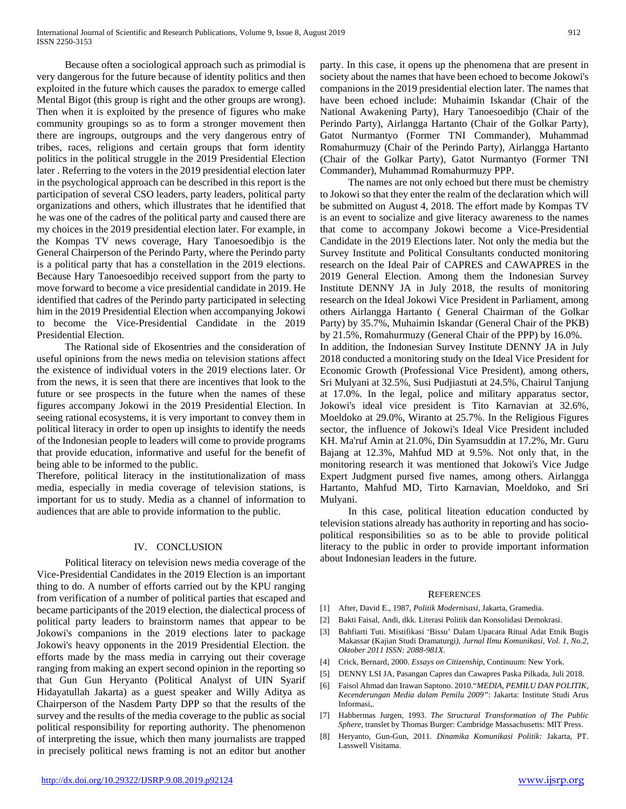Because often a sociological approach such as primodial is very dangerous for the future because of identity politics and then exploited in the future which causes the paradox to emerge called Mental Bigot (this group is right and the other groups are wrong). Then when it is exploited by the presence of figures who make community groupings so as to form a stronger movement then there are ingroups, outgroups and the very dangerous entry of tribes, races, religions and certain groups that form identity politics in the political struggle in the 2019 Presidential Election later . Referring to the voters in the 2019 presidential election later in the psychological approach can be described in this report is the participation of several CSO leaders, party leaders, political party organizations and others, which illustrates that he identified that he was one of the cadres of the political party and caused there are my choices in the 2019 presidential election later. For example, in the Kompas TV news coverage, Hary Tanoesoedibjo is the General Chairperson of the Perindo Party, where the Perindo party is a political party that has a constellation in the 2019 elections. Because Hary Tanoesoedibjo received support from the party to move forward to become a vice presidential candidate in 2019. He identified that cadres of the Perindo party participated in selecting him in the 2019 Presidential Election when accompanying Jokowi to become the Vice-Presidential Candidate in the 2019 Presidential Election.

 The Rational side of Ekosentries and the consideration of useful opinions from the news media on television stations affect the existence of individual voters in the 2019 elections later. Or from the news, it is seen that there are incentives that look to the future or see prospects in the future when the names of these figures accompany Jokowi in the 2019 Presidential Election. In seeing rational ecosystems, it is very important to convey them in political literacy in order to open up insights to identify the needs of the Indonesian people to leaders will come to provide programs that provide education, informative and useful for the benefit of being able to be informed to the public.

Therefore, political literacy in the institutionalization of mass media, especially in media coverage of television stations, is important for us to study. Media as a channel of information to audiences that are able to provide information to the public.

#### IV. CONCLUSION

 Political literacy on television news media coverage of the Vice-Presidential Candidates in the 2019 Election is an important thing to do. A number of efforts carried out by the KPU ranging from verification of a number of political parties that escaped and became participants of the 2019 election, the dialectical process of political party leaders to brainstorm names that appear to be Jokowi's companions in the 2019 elections later to package Jokowi's heavy opponents in the 2019 Presidential Election. the efforts made by the mass media in carrying out their coverage ranging from making an expert second opinion in the reporting so that Gun Gun Heryanto (Political Analyst of UIN Syarif Hidayatullah Jakarta) as a guest speaker and Willy Aditya as Chairperson of the Nasdem Party DPP so that the results of the survey and the results of the media coverage to the public as social political responsibility for reporting authority. The phenomenon of interpreting the issue, which then many journalists are trapped in precisely political news framing is not an editor but another

party. In this case, it opens up the phenomena that are present in society about the names that have been echoed to become Jokowi's companions in the 2019 presidential election later. The names that have been echoed include: Muhaimin Iskandar (Chair of the National Awakening Party), Hary Tanoesoedibjo (Chair of the Perindo Party), Airlangga Hartanto (Chair of the Golkar Party), Gatot Nurmantyo (Former TNI Commander), Muhammad Romahurmuzy (Chair of the Perindo Party), Airlangga Hartanto (Chair of the Golkar Party), Gatot Nurmantyo (Former TNI Commander), Muhammad Romahurmuzy PPP.

 The names are not only echoed but there must be chemistry to Jokowi so that they enter the realm of the declaration which will be submitted on August 4, 2018. The effort made by Kompas TV is an event to socialize and give literacy awareness to the names that come to accompany Jokowi become a Vice-Presidential Candidate in the 2019 Elections later. Not only the media but the Survey Institute and Political Consultants conducted monitoring research on the Ideal Pair of CAPRES and CAWAPRES in the 2019 General Election. Among them the Indonesian Survey Institute DENNY JA in July 2018, the results of monitoring research on the Ideal Jokowi Vice President in Parliament, among others Airlangga Hartanto ( General Chairman of the Golkar Party) by 35.7%, Muhaimin Iskandar (General Chair of the PKB) by 21.5%, Romahurmuzy (General Chair of the PPP) by 16.0%. In addition, the Indonesian Survey Institute DENNY JA in July 2018 conducted a monitoring study on the Ideal Vice President for Economic Growth (Professional Vice President), among others, Sri Mulyani at 32.5%, Susi Pudjiastuti at 24.5%, Chairul Tanjung at 17.0%. In the legal, police and military apparatus sector, Jokowi's ideal vice president is Tito Karnavian at 32.6%, Moeldoko at 29.0%, Wiranto at 25.7%. In the Religious Figures sector, the influence of Jokowi's Ideal Vice President included KH. Ma'ruf Amin at 21.0%, Din Syamsuddin at 17.2%, Mr. Guru Bajang at 12.3%, Mahfud MD at 9.5%. Not only that, in the monitoring research it was mentioned that Jokowi's Vice Judge Expert Judgment pursed five names, among others. Airlangga Hartanto, Mahfud MD, Tirto Karnavian, Moeldoko, and Sri Mulyani.

 In this case, political liteation education conducted by television stations already has authority in reporting and has sociopolitical responsibilities so as to be able to provide political literacy to the public in order to provide important information about Indonesian leaders in the future.

#### **REFERENCES**

- [1] After, David E., 1987, *Politik Modernisasi*, Jakarta, Gramedia.
- [2] Bakti Faisal, Andi, dkk. Literasi Politik dan Konsolidasi Demokrasi.
- [3] Bahfiarti Tuti. Mistifikasi 'Bissu' Dalam Upacara Ritual Adat Etnik Bugis Makassar (Kajian Studi Dramaturgi*)*, *Jurnal Ilmu Komunikasi, Vol. 1, No.2, Oktober 2011 ISSN: 2088-981X.*
- [4] Crick, Bernard, 2000. *Essays on Citizenship,* Continuum: New York.
- [5] DENNY LSI JA, Pasangan Capres dan Cawapres Paska Pilkada, Juli 2018.
- [6] Faisol Ahmad dan Irawan Saptono. 2010."*MEDIA, PEMILU DAN POLITIK, Kecenderungan Media dalam Pemilu 2009"*: Jakarta: Institute Studi Arus Informasi,.
- [7] Habbermas Jurgen, 1993. *The Structural Transformation of The Public Sphere,* translet by Thomas Burger: Cambridge Massachusetts: MIT Press.
- [8] Heryanto, Gun-Gun, 2011. *Dinamika Komunikasi Politik:* Jakarta, PT. Lasswell Visitama.